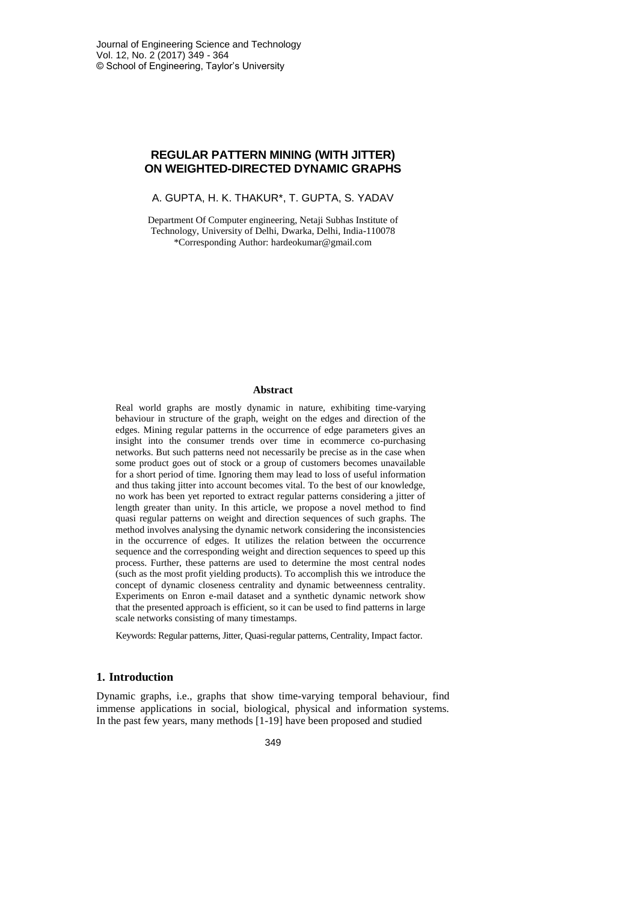# **REGULAR PATTERN MINING (WITH JITTER) ON WEIGHTED-DIRECTED DYNAMIC GRAPHS**

A. GUPTA, H. K. THAKUR\*, T. GUPTA, S. YADAV

Department Of Computer engineering, Netaji Subhas Institute of Technology, University of Delhi, Dwarka, Delhi, India-110078 \*Corresponding Author: hardeokumar@gmail.com

#### **Abstract**

Real world graphs are mostly dynamic in nature, exhibiting time-varying behaviour in structure of the graph, weight on the edges and direction of the edges. Mining regular patterns in the occurrence of edge parameters gives an insight into the consumer trends over time in ecommerce co-purchasing networks. But such patterns need not necessarily be precise as in the case when some product goes out of stock or a group of customers becomes unavailable for a short period of time. Ignoring them may lead to loss of useful information and thus taking jitter into account becomes vital. To the best of our knowledge, no work has been yet reported to extract regular patterns considering a jitter of length greater than unity. In this article, we propose a novel method to find quasi regular patterns on weight and direction sequences of such graphs. The method involves analysing the dynamic network considering the inconsistencies in the occurrence of edges. It utilizes the relation between the occurrence sequence and the corresponding weight and direction sequences to speed up this process. Further, these patterns are used to determine the most central nodes (such as the most profit yielding products). To accomplish this we introduce the concept of dynamic closeness centrality and dynamic betweenness centrality. Experiments on Enron e-mail dataset and a synthetic dynamic network show that the presented approach is efficient, so it can be used to find patterns in large scale networks consisting of many timestamps.

Keywords: Regular patterns, Jitter, Quasi-regular patterns, Centrality, Impact factor.

# **1. Introduction**

Dynamic graphs, i.e., graphs that show time-varying temporal behaviour, find immense applications in social, biological, physical and information systems. In the past few years, many methods [1-19] have been proposed and studied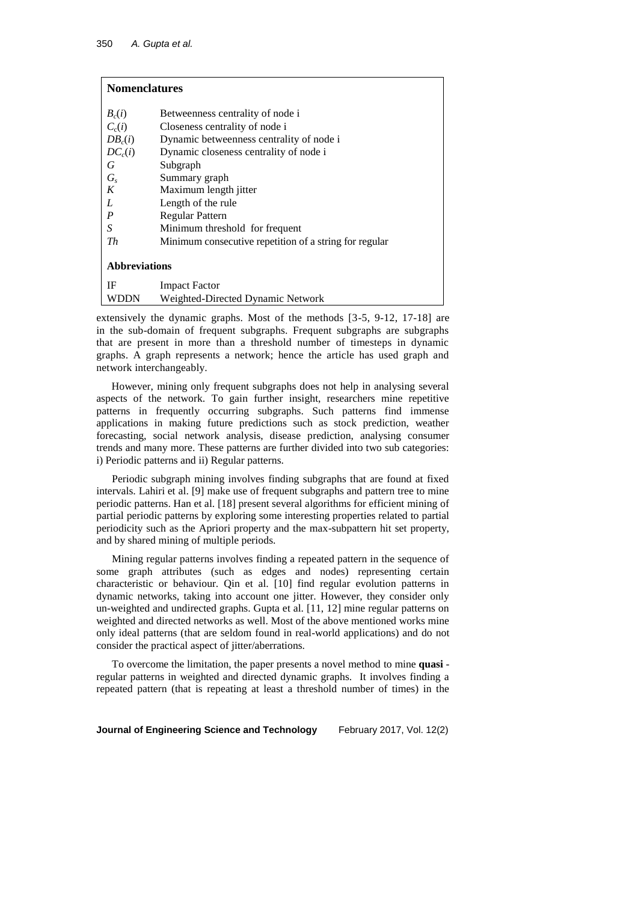| <b>Nomenclatures</b> |                                                        |  |
|----------------------|--------------------------------------------------------|--|
| $B_c(i)$             | Betweenness centrality of node i                       |  |
| $C_{c}(i)$           | Closeness centrality of node i                         |  |
| $DB_c(i)$            | Dynamic betweenness centrality of node i               |  |
| $DC_c(i)$            | Dynamic closeness centrality of node i                 |  |
| G                    | Subgraph                                               |  |
| G <sub>s</sub>       | Summary graph                                          |  |
| K                    | Maximum length jitter                                  |  |
| L                    | Length of the rule                                     |  |
| $\boldsymbol{P}$     | Regular Pattern                                        |  |
| $\boldsymbol{S}$     | Minimum threshold for frequent                         |  |
| Th                   | Minimum consecutive repetition of a string for regular |  |
| <b>Abbreviations</b> |                                                        |  |
| IF                   | <b>Impact Factor</b>                                   |  |
| WDDN                 | Weighted-Directed Dynamic Network                      |  |

extensively the dynamic graphs. Most of the methods [3-5, 9-12, 17-18] are in the sub-domain of frequent subgraphs. Frequent subgraphs are subgraphs that are present in more than a threshold number of timesteps in dynamic graphs. A graph represents a network; hence the article has used graph and network interchangeably.

However, mining only frequent subgraphs does not help in analysing several aspects of the network. To gain further insight, researchers mine repetitive patterns in frequently occurring subgraphs. Such patterns find immense applications in making future predictions such as stock prediction, weather forecasting, social network analysis, disease prediction, analysing consumer trends and many more. These patterns are further divided into two sub categories: i) Periodic patterns and ii) Regular patterns.

Periodic subgraph mining involves finding subgraphs that are found at fixed intervals. Lahiri et al. [9] make use of frequent subgraphs and pattern tree to mine periodic patterns. Han et al. [18] present several algorithms for efficient mining of partial periodic patterns by exploring some interesting properties related to partial periodicity such as the Apriori property and the max-subpattern hit set property, and by shared mining of multiple periods.

Mining regular patterns involves finding a repeated pattern in the sequence of some graph attributes (such as edges and nodes) representing certain characteristic or behaviour. Qin et al. [10] find regular evolution patterns in dynamic networks, taking into account one jitter. However, they consider only un-weighted and undirected graphs. Gupta et al. [11, 12] mine regular patterns on weighted and directed networks as well. Most of the above mentioned works mine only ideal patterns (that are seldom found in real-world applications) and do not consider the practical aspect of jitter/aberrations.

To overcome the limitation, the paper presents a novel method to mine **quasi** regular patterns in weighted and directed dynamic graphs. It involves finding a repeated pattern (that is repeating at least a threshold number of times) in the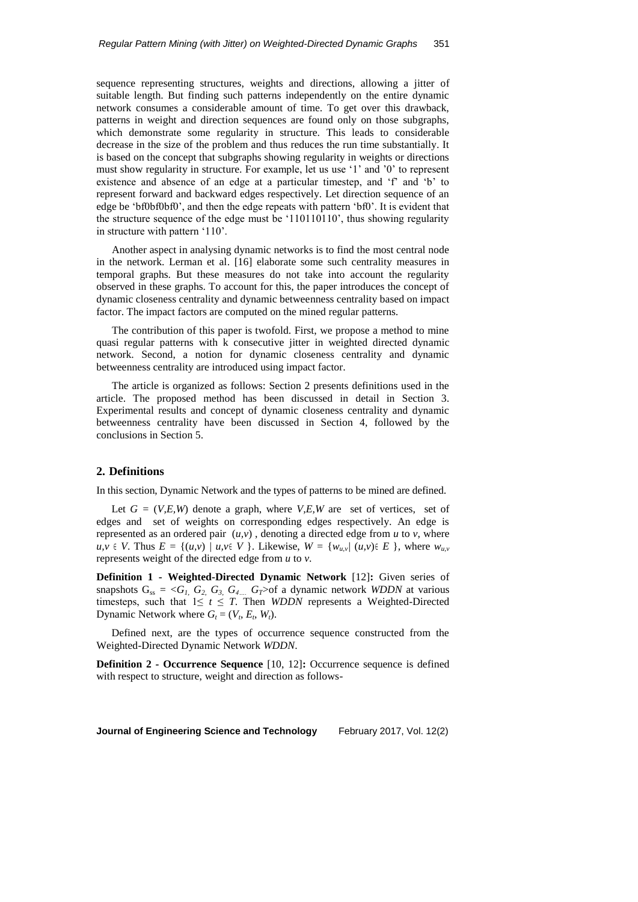sequence representing structures, weights and directions, allowing a jitter of suitable length. But finding such patterns independently on the entire dynamic network consumes a considerable amount of time. To get over this drawback, patterns in weight and direction sequences are found only on those subgraphs, which demonstrate some regularity in structure. This leads to considerable decrease in the size of the problem and thus reduces the run time substantially. It is based on the concept that subgraphs showing regularity in weights or directions must show regularity in structure. For example, let us use '1' and '0' to represent existence and absence of an edge at a particular timestep, and 'f' and 'b' to represent forward and backward edges respectively. Let direction sequence of an edge be 'bf0bf0bf0', and then the edge repeats with pattern 'bf0'. It is evident that the structure sequence of the edge must be '110110110', thus showing regularity in structure with pattern '110'.

Another aspect in analysing dynamic networks is to find the most central node in the network. Lerman et al. [16] elaborate some such centrality measures in temporal graphs. But these measures do not take into account the regularity observed in these graphs. To account for this, the paper introduces the concept of dynamic closeness centrality and dynamic betweenness centrality based on impact factor. The impact factors are computed on the mined regular patterns.

The contribution of this paper is twofold. First, we propose a method to mine quasi regular patterns with k consecutive jitter in weighted directed dynamic network. Second, a notion for dynamic closeness centrality and dynamic betweenness centrality are introduced using impact factor.

The article is organized as follows: Section 2 presents definitions used in the article. The proposed method has been discussed in detail in Section 3. Experimental results and concept of dynamic closeness centrality and dynamic betweenness centrality have been discussed in Section 4, followed by the conclusions in Section 5.

#### **2. Definitions**

In this section, Dynamic Network and the types of patterns to be mined are defined.

Let  $G = (V, E, W)$  denote a graph, where  $V, E, W$  are set of vertices, set of edges and set of weights on corresponding edges respectively. An edge is represented as an ordered pair  $(u, v)$ , denoting a directed edge from  $u$  to  $v$ , where  $u, v \in V$ . Thus  $E = \{(u, v) \mid u, v \in V\}$ . Likewise,  $W = \{w_{u, v} \mid (u, v) \in E\}$ , where  $w_{u, v}$ represents weight of the directed edge from *u* to *v*.

**Definition 1 - Weighted-Directed Dynamic Network** [12]**:** Given series of snapshots  $G_{ss} = \langle G_I, G_2, G_3, G_4, G_I \rangle$  of a dynamic network *WDDN* at various timesteps, such that  $1 \leq t \leq T$ . Then *WDDN* represents a Weighted-Directed Dynamic Network where  $G_t = (V_t, E_t, W_t)$ .

Defined next, are the types of occurrence sequence constructed from the Weighted-Directed Dynamic Network *WDDN*.

**Definition 2 - Occurrence Sequence** [10, 12]**:** Occurrence sequence is defined with respect to structure, weight and direction as follows-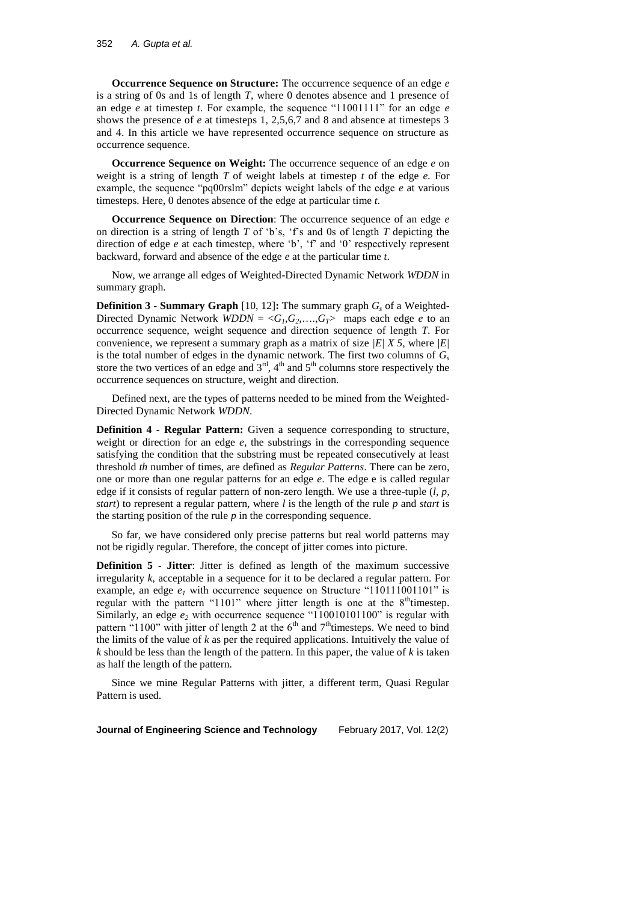**Occurrence Sequence on Structure:** The occurrence sequence of an edge *e* is a string of 0s and 1s of length *T*, where 0 denotes absence and 1 presence of an edge *e* at timestep *t*. For example, the sequence "11001111" for an edge *e* shows the presence of *e* at timesteps 1, 2,5,6,7 and 8 and absence at timesteps 3 and 4. In this article we have represented occurrence sequence on structure as occurrence sequence.

**Occurrence Sequence on Weight:** The occurrence sequence of an edge *e* on weight is a string of length *T* of weight labels at timestep *t* of the edge *e.* For example, the sequence "pq00rslm" depicts weight labels of the edge *e* at various timesteps. Here, 0 denotes absence of the edge at particular time *t*.

**Occurrence Sequence on Direction**: The occurrence sequence of an edge *e* on direction is a string of length *T* of 'b's, 'f's and 0s of length *T* depicting the direction of edge *e* at each timestep, where 'b', 'f' and '0' respectively represent backward, forward and absence of the edge *e* at the particular time *t*.

Now, we arrange all edges of Weighted-Directed Dynamic Network *WDDN* in summary graph.

**Definition 3 - Summary Graph** [10, 12]**:** The summary graph *G<sup>s</sup>* of a Weighted-Directed Dynamic Network  $WDDN = \langle G_1, G_2, \ldots, G_T \rangle$  maps each edge *e* to an occurrence sequence, weight sequence and direction sequence of length *T*. For convenience, we represent a summary graph as a matrix of size *|E| X 5*, where *|E|* is the total number of edges in the dynamic network. The first two columns of *G<sup>s</sup>* store the two vertices of an edge and  $3<sup>rd</sup>$ ,  $4<sup>th</sup>$  and  $5<sup>th</sup>$  columns store respectively the occurrence sequences on structure, weight and direction.

Defined next, are the types of patterns needed to be mined from the Weighted-Directed Dynamic Network *WDDN*.

**Definition 4 - Regular Pattern:** Given a sequence corresponding to structure, weight or direction for an edge *e*, the substrings in the corresponding sequence satisfying the condition that the substring must be repeated consecutively at least threshold *th* number of times, are defined as *Regular Patterns*. There can be zero, one or more than one regular patterns for an edge *e*. The edge e is called regular edge if it consists of regular pattern of non-zero length. We use a three-tuple (*l, p, start*) to represent a regular pattern, where *l* is the length of the rule *p* and *start* is the starting position of the rule *p* in the corresponding sequence.

So far, we have considered only precise patterns but real world patterns may not be rigidly regular. Therefore, the concept of jitter comes into picture.

**Definition 5 - Jitter**: Jitter is defined as length of the maximum successive irregularity *k*, acceptable in a sequence for it to be declared a regular pattern. For example, an edge  $e<sub>1</sub>$  with occurrence sequence on Structure "110111001101" is regular with the pattern "1101" where jitter length is one at the  $8<sup>th</sup>$  timestep. Similarly, an edge  $e_2$  with occurrence sequence "110010101100" is regular with pattern "1100" with jitter of length 2 at the  $6<sup>th</sup>$  and  $7<sup>th</sup>$  timesteps. We need to bind the limits of the value of *k* as per the required applications. Intuitively the value of *k* should be less than the length of the pattern. In this paper, the value of *k* is taken as half the length of the pattern.

Since we mine Regular Patterns with jitter, a different term, Quasi Regular Pattern is used.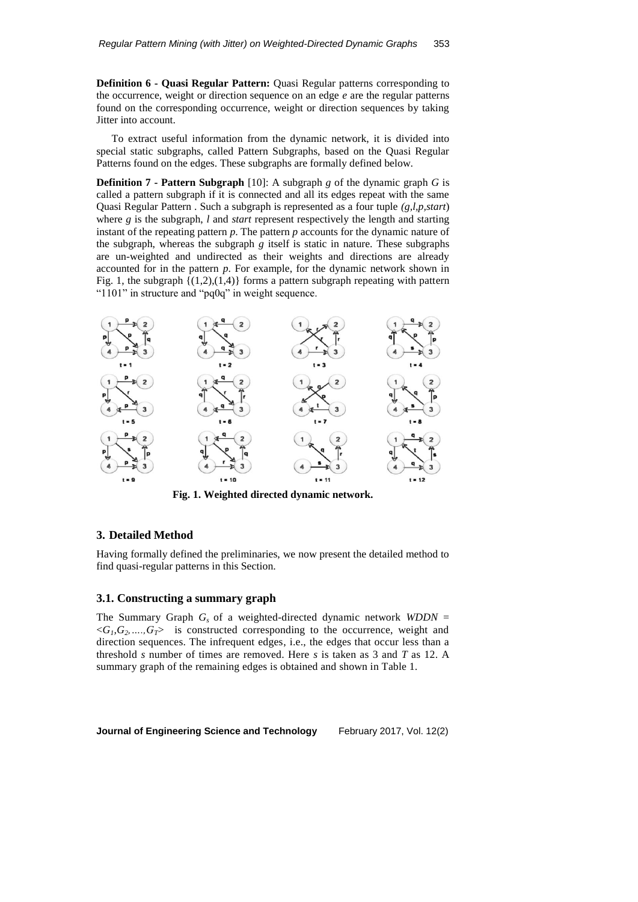**Definition 6 - Quasi Regular Pattern:** Quasi Regular patterns corresponding to the occurrence, weight or direction sequence on an edge *e* are the regular patterns found on the corresponding occurrence, weight or direction sequences by taking Jitter into account.

To extract useful information from the dynamic network, it is divided into special static subgraphs, called Pattern Subgraphs, based on the Quasi Regular Patterns found on the edges. These subgraphs are formally defined below.

**Definition 7 - Pattern Subgraph** [10]: A subgraph *g* of the dynamic graph *G* is called a pattern subgraph if it is connected and all its edges repeat with the same Quasi Regular Pattern . Such a subgraph is represented as a four tuple *(g,l,p,start*) where *g* is the subgraph, *l* and *start* represent respectively the length and starting instant of the repeating pattern *p*. The pattern *p* accounts for the dynamic nature of the subgraph, whereas the subgraph  $g$  itself is static in nature. These subgraphs are un-weighted and undirected as their weights and directions are already accounted for in the pattern *p*. For example, for the dynamic network shown in Fig. 1, the subgraph  $\{(1,2),(1,4)\}$  forms a pattern subgraph repeating with pattern "1101" in structure and "pq0q" in weight sequence.



**Fig. 1. Weighted directed dynamic network.**

### **3. Detailed Method**

Having formally defined the preliminaries, we now present the detailed method to find quasi-regular patterns in this Section.

### **3.1. Constructing a summary graph**

The Summary Graph  $G_s$  of a weighted-directed dynamic network *WDDN* =  $\langle G_1, G_2, ..., G_T \rangle$  is constructed corresponding to the occurrence, weight and direction sequences. The infrequent edges, i.e., the edges that occur less than a threshold *s* number of times are removed. Here *s* is taken as 3 and *T* as 12. A summary graph of the remaining edges is obtained and shown in Table 1.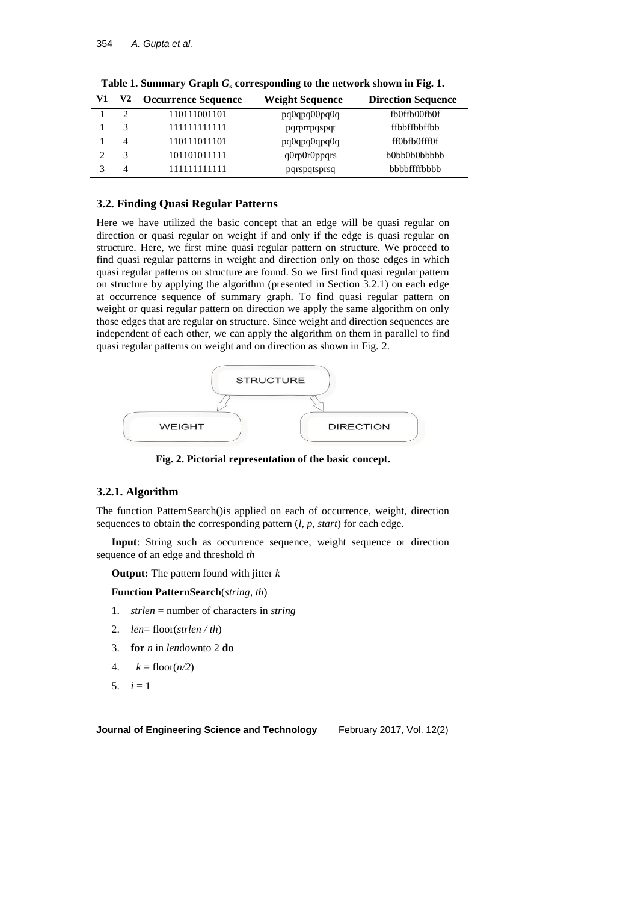| V1 | V <sub>2</sub>                | <b>Occurrence Sequence</b> | <b>Weight Sequence</b> | <b>Direction Sequence</b> |
|----|-------------------------------|----------------------------|------------------------|---------------------------|
|    | $\mathfrak{D}_{\mathfrak{p}}$ | 110111001101               | pq0qpq00pq0q           | fb0ffb00fb0f              |
|    |                               | 111111111111               | pqrprrpqspqt           | ffbbffbbffbb              |
|    | 4                             | 110111011101               | pq0qpq0qpq0q           | ff0bfb0fff0f              |
| ↑  | 3                             | 101101011111               | q0rp0r0ppqrs           | b0bb0b0bbbbb              |
|    | 4                             | 111111111111               | pqrspqtsprsq           | bbbbffffbbbb              |

**Table 1. Summary Graph** *G<sup>s</sup>* **corresponding to the network shown in Fig. 1.**

# **3.2. Finding Quasi Regular Patterns**

Here we have utilized the basic concept that an edge will be quasi regular on direction or quasi regular on weight if and only if the edge is quasi regular on structure. Here, we first mine quasi regular pattern on structure. We proceed to find quasi regular patterns in weight and direction only on those edges in which quasi regular patterns on structure are found. So we first find quasi regular pattern on structure by applying the algorithm (presented in Section 3.2.1) on each edge at occurrence sequence of summary graph. To find quasi regular pattern on weight or quasi regular pattern on direction we apply the same algorithm on only those edges that are regular on structure. Since weight and direction sequences are independent of each other, we can apply the algorithm on them in parallel to find quasi regular patterns on weight and on direction as shown in Fig. 2.



**Fig. 2. Pictorial representation of the basic concept.**

# **3.2.1. Algorithm**

The function PatternSearch()is applied on each of occurrence, weight, direction sequences to obtain the corresponding pattern (*l, p, start*) for each edge.

**Input**: String such as occurrence sequence, weight sequence or direction sequence of an edge and threshold *th*

**Output:** The pattern found with jitter *k*

**Function PatternSearch**(*string, th*)

- 1. *strlen* = number of characters in *string*
- 2. *len*= floor(*strlen / th*)
- 3. **for** *n* in *len*downto 2 **do**
- 4.  $k = \text{floor}(n/2)$
- 5.  $i = 1$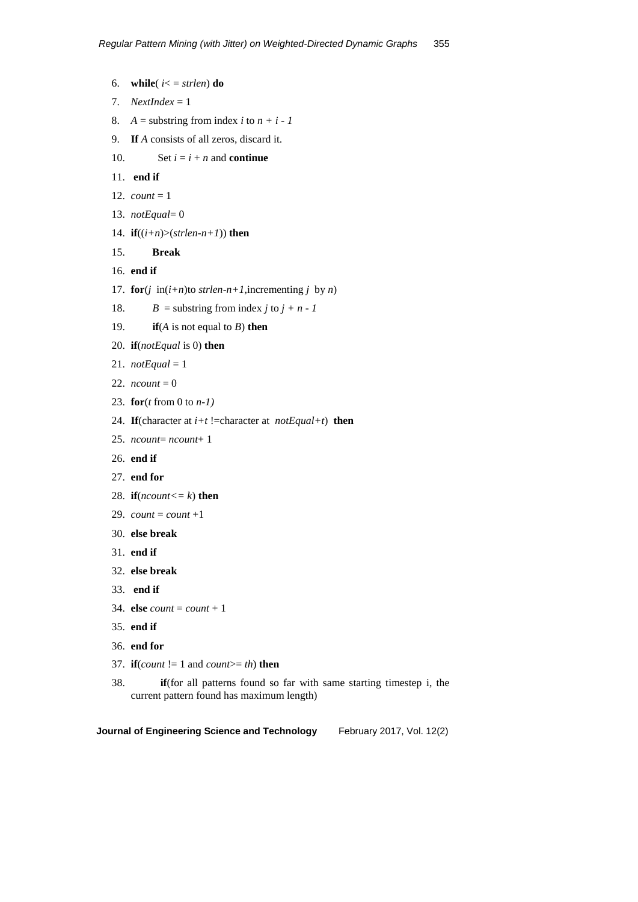- 6. **while**( $i \leq j \leq strlen$ ) **do**
- 7. *NextIndex* = 1
- 8. *A* = substring from index *i* to  $n + i 1$
- 9. **If** *A* consists of all zeros, discard it.
- 10. Set  $i = i + n$  and **continue**
- 11. **end if**
- 12. *count* = 1
- 13. *notEqual*= 0
- 14. **if**( $(i+n)$ >( $strlen-n+1$ )) **then**
- 15. **Break**
- 16. **end if**
- 17. **for**( $j$  **in**( $i+n$ )to *strlen-n+1*, incrementing  $j$  by  $n$ )
- 18. *B* = substring from index *j* to  $j + n 1$
- 19. **if**(*A* is not equal to *B*) **then**
- 20. **if**(*notEqual* is 0) **then**
- 21.  $notEqual = 1$
- 22.  $$
- 23. **for**(*t* from 0 to *n-1)*
- 24. **If**(character at  $i+t$  !=character at *notEqual+t*) **then**
- 25. *ncount*= *ncount*+ 1
- 26. **end if**
- 27. **end for**
- 28. **if**( $\textit{ncount} \leq k$ ) **then**
- 29.  $count = count +1$
- 30. **else break**
- 31. **end if**
- 32. **else break**
- 33. **end if**
- 34. **else** *count* = *count* + 1
- 35. **end if**
- 36. **end for**
- 37. **if**(*count*  $!= 1$  and *count* $>= th$ ) **then**
- 38. **if**(for all patterns found so far with same starting timestep i, the current pattern found has maximum length)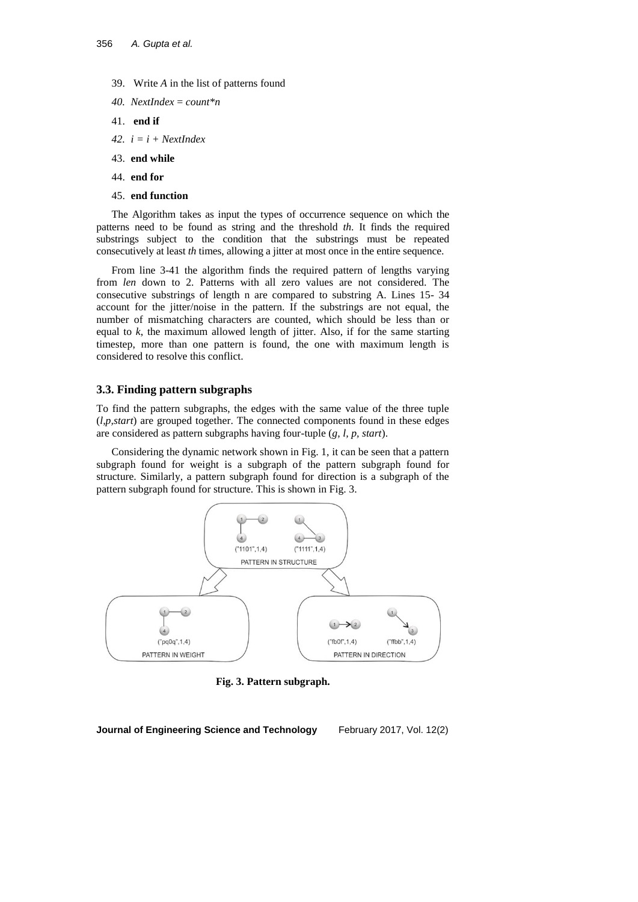- 39. Write *A* in the list of patterns found
- *40. NextIndex* = *count\*n*
- 41. **end if**
- *42. i = i + NextIndex*
- 43. **end while**
- 44. **end for**
- 45. **end function**

The Algorithm takes as input the types of occurrence sequence on which the patterns need to be found as string and the threshold *th*. It finds the required substrings subject to the condition that the substrings must be repeated consecutively at least *th* times, allowing a jitter at most once in the entire sequence.

From line 3-41 the algorithm finds the required pattern of lengths varying from *len* down to 2. Patterns with all zero values are not considered. The consecutive substrings of length n are compared to substring A. Lines 15- 34 account for the jitter/noise in the pattern. If the substrings are not equal, the number of mismatching characters are counted, which should be less than or equal to *k*, the maximum allowed length of jitter. Also, if for the same starting timestep, more than one pattern is found, the one with maximum length is considered to resolve this conflict.

### **3.3. Finding pattern subgraphs**

To find the pattern subgraphs, the edges with the same value of the three tuple (*l,p,start*) are grouped together. The connected components found in these edges are considered as pattern subgraphs having four-tuple (*g, l, p, start*).

Considering the dynamic network shown in Fig. 1, it can be seen that a pattern subgraph found for weight is a subgraph of the pattern subgraph found for structure. Similarly, a pattern subgraph found for direction is a subgraph of the pattern subgraph found for structure. This is shown in Fig. 3.



**Fig. 3. Pattern subgraph.**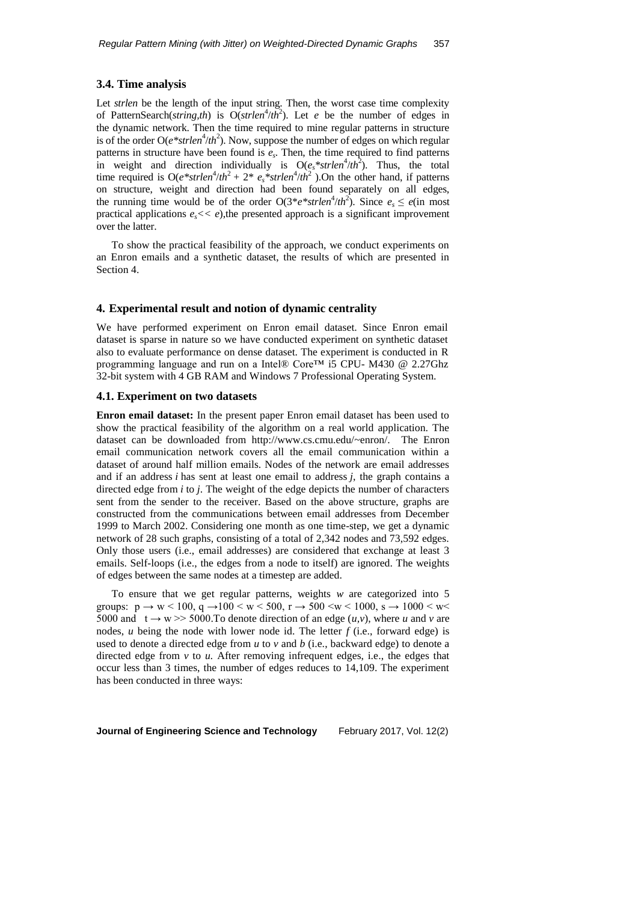#### **3.4. Time analysis**

Let *strlen* be the length of the input string. Then, the worst case time complexity of PatternSearch(*string,th*) is  $O(\text{strlen}^4/\text{th}^2)$ . Let *e* be the number of edges in the dynamic network. Then the time required to mine regular patterns in structure is of the order  $O(e^*s$ *trlen*<sup>4</sup>/*th*<sup>2</sup>). Now, suppose the number of edges on which regular patterns in structure have been found is  $e_s$ . Then, the time required to find patterns in weight and direction individually is  $O(e_s * strlen^4/th^2)$ . Thus, the total time required is  $O(e^* strlen^4/th^2 + 2^* e_s^* strlen^4/th^2)$ . On the other hand, if patterns on structure, weight and direction had been found separately on all edges, the running time would be of the order  $O(3*e*strlen^4/th^2)$ . Since  $e_s \leq e(\text{in most})$ practical applications  $e_s \ll e$ ), the presented approach is a significant improvement over the latter.

To show the practical feasibility of the approach, we conduct experiments on an Enron emails and a synthetic dataset, the results of which are presented in Section 4.

#### **4. Experimental result and notion of dynamic centrality**

We have performed experiment on Enron email dataset. Since Enron email dataset is sparse in nature so we have conducted experiment on synthetic dataset also to evaluate performance on dense dataset. The experiment is conducted in R programming language and run on a Intel® Core™ i5 CPU- M430 @ 2.27Ghz 32-bit system with 4 GB RAM and Windows 7 Professional Operating System.

#### **4.1. Experiment on two datasets**

**Enron email dataset:** In the present paper Enron email dataset has been used to show the practical feasibility of the algorithm on a real world application. The dataset can be downloaded from [http://www.cs.cmu.edu/~enron/.](http://www.cs.cmu.edu/~enron/) The Enron email communication network covers all the email communication within a dataset of around half million emails. Nodes of the network are email addresses and if an address *i* has sent at least one email to address *j*, the graph contains a directed edge from *i* to *j*. The weight of the edge depicts the number of characters sent from the sender to the receiver. Based on the above structure, graphs are constructed from the communications between email addresses from December 1999 to March 2002. Considering one month as one time-step, we get a dynamic network of 28 such graphs, consisting of a total of 2,342 nodes and 73,592 edges. Only those users (i.e., email addresses) are considered that exchange at least 3 emails. Self-loops (i.e., the edges from a node to itself) are ignored. The weights of edges between the same nodes at a timestep are added.

To ensure that we get regular patterns, weights *w* are categorized into 5 groups:  $p \to w < 100$ ,  $q \to 100 < w < 500$ ,  $r \to 500 < w < 1000$ ,  $s \to 1000 < w <$ 5000 and  $t \rightarrow w \gg 5000$ . To denote direction of an edge  $(u, v)$ , where u and v are nodes, *u* being the node with lower node id. The letter *f* (i.e., forward edge) is used to denote a directed edge from *u* to *v* and *b* (i.e., backward edge) to denote a directed edge from *v* to *u.* After removing infrequent edges, i.e., the edges that occur less than 3 times, the number of edges reduces to 14,109. The experiment has been conducted in three ways: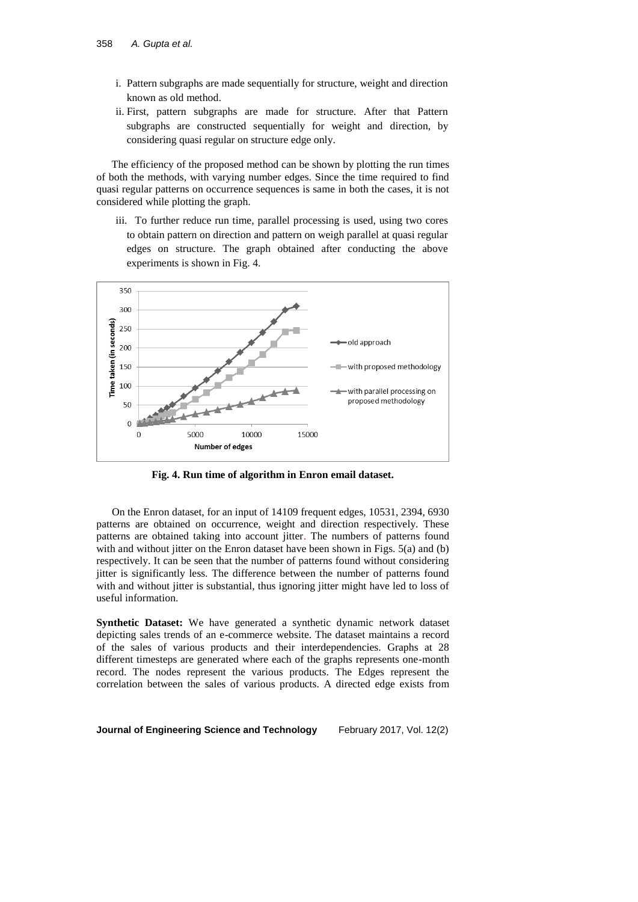- i. Pattern subgraphs are made sequentially for structure, weight and direction known as old method.
- ii. First, pattern subgraphs are made for structure. After that Pattern subgraphs are constructed sequentially for weight and direction, by considering quasi regular on structure edge only.

The efficiency of the proposed method can be shown by plotting the run times of both the methods, with varying number edges. Since the time required to find quasi regular patterns on occurrence sequences is same in both the cases, it is not considered while plotting the graph.

iii. To further reduce run time, parallel processing is used, using two cores to obtain pattern on direction and pattern on weigh parallel at quasi regular edges on structure. The graph obtained after conducting the above experiments is shown in Fig. 4.



**Fig. 4. Run time of algorithm in Enron email dataset.**

On the Enron dataset, for an input of 14109 frequent edges, 10531, 2394, 6930 patterns are obtained on occurrence, weight and direction respectively. These patterns are obtained taking into account jitter. The numbers of patterns found with and without jitter on the Enron dataset have been shown in Figs. 5(a) and (b) respectively. It can be seen that the number of patterns found without considering jitter is significantly less. The difference between the number of patterns found with and without jitter is substantial, thus ignoring jitter might have led to loss of useful information.

**Synthetic Dataset:** We have generated a synthetic dynamic network dataset depicting sales trends of an e-commerce website. The dataset maintains a record of the sales of various products and their interdependencies. Graphs at 28 different timesteps are generated where each of the graphs represents one-month record. The nodes represent the various products. The Edges represent the correlation between the sales of various products. A directed edge exists from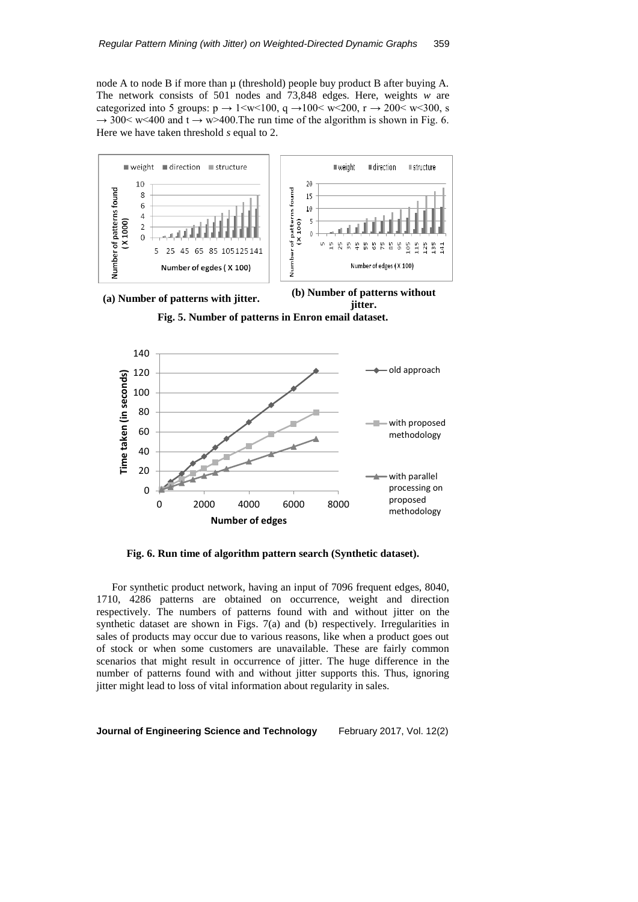node A to node B if more than  $\mu$  (threshold) people buy product B after buying A. The network consists of 501 nodes and 73,848 edges. Here, weights *w* are categorized into 5 groups:  $p \rightarrow 1 \le w \le 100$ ,  $q \rightarrow 100 \le w \le 200$ ,  $r \rightarrow 200 \le w \le 300$ , s  $\rightarrow$  300< w<400 and t  $\rightarrow$  w>400. The run time of the algorithm is shown in Fig. 6. Here we have taken threshold *s* equal to 2.



**jitter. Fig. 5. Number of patterns in Enron email dataset.**



**Fig. 6. Run time of algorithm pattern search (Synthetic dataset).**

For synthetic product network, having an input of 7096 frequent edges, 8040, 1710, 4286 patterns are obtained on occurrence, weight and direction respectively. The numbers of patterns found with and without jitter on the synthetic dataset are shown in Figs. 7(a) and (b) respectively. Irregularities in sales of products may occur due to various reasons, like when a product goes out of stock or when some customers are unavailable. These are fairly common scenarios that might result in occurrence of jitter. The huge difference in the number of patterns found with and without jitter supports this. Thus, ignoring jitter might lead to loss of vital information about regularity in sales.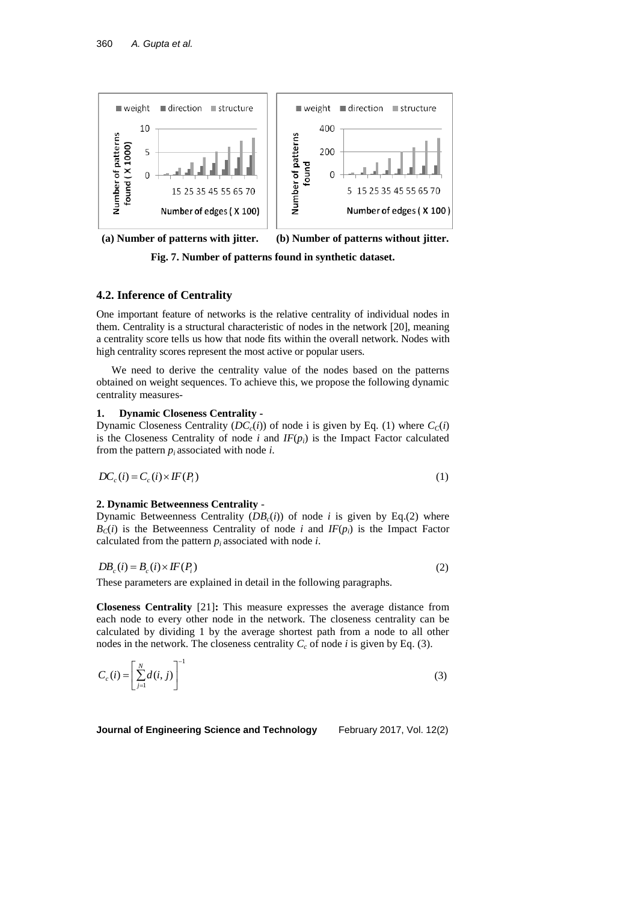

**(a) Number of patterns with jitter. (b) Number of patterns without jitter.**

**Fig. 7. Number of patterns found in synthetic dataset.**

### **4.2. Inference of Centrality**

One important feature of networks is the relative centrality of individual nodes in them. Centrality is a structural characteristic of nodes in the network [20], meaning a centrality score tells us how that node fits within the overall network. Nodes with high centrality scores represent the most active or popular users.

We need to derive the centrality value of the nodes based on the patterns obtained on weight sequences. To achieve this, we propose the following dynamic centrality measures-

#### **1. Dynamic Closeness Centrality -**

Dynamic Closeness Centrality ( $DC_c(i)$ ) of node i is given by Eq. (1) where  $C_c(i)$ is the Closeness Centrality of node  $i$  and  $IF(p_i)$  is the Impact Factor calculated from the pattern  $p_i$  associated with node *i*.

$$
DC_c(i) = C_c(i) \times IF(P_i)
$$
\n(1)

#### **2. Dynamic Betweenness Centrality** -

Dynamic Betweenness Centrality  $(DB_c(i))$  of node *i* is given by Eq.(2) where  $B_C(i)$  is the Betweenness Centrality of node *i* and  $IF(p_i)$  is the Impact Factor calculated from the pattern  $p_i$  associated with node *i*.

$$
DB_c(i) = B_c(i) \times IF(P_i)
$$
\n(2)

These parameters are explained in detail in the following paragraphs.

**Closeness Centrality** [21]**:** This measure expresses the average distance from each node to every other node in the network. The closeness centrality can be calculated by dividing 1 by the average shortest path from a node to all other nodes in the network. The closeness centrality  $C_c$  of node *i* is given by Eq. (3).

$$
C_c(i) = \left[\sum_{j=1}^{N} d(i, j)\right]^{-1}
$$
\n(3)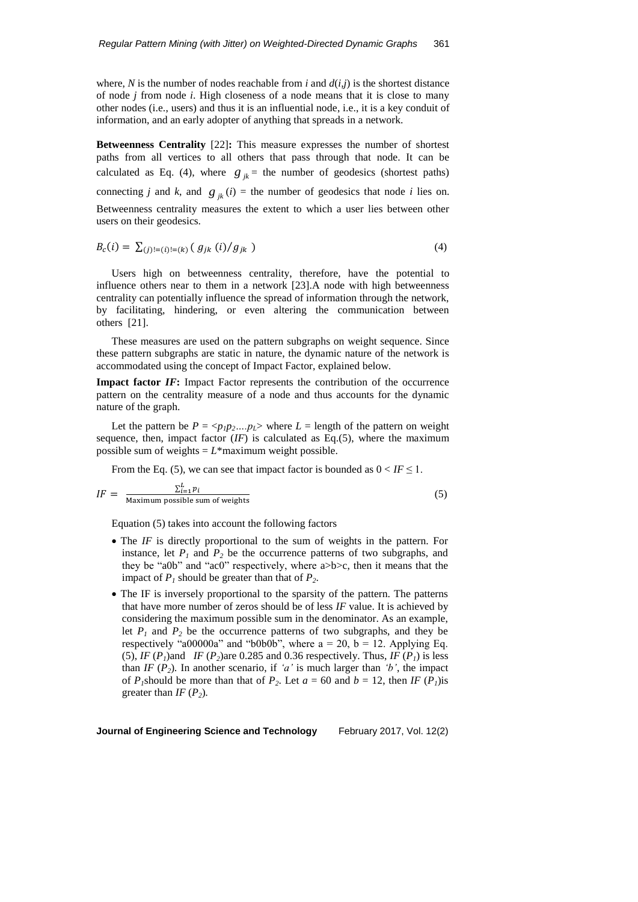where, *N* is the number of nodes reachable from *i* and  $d(i,j)$  is the shortest distance of node *j* from node *i*. High closeness of a node means that it is close to many other nodes (i.e., users) and thus it is an influential node, i.e., it is a key conduit of information, and an early adopter of anything that spreads in a network.

**Betweenness Centrality** [22]**:** This measure expresses the number of shortest paths from all vertices to all others that pass through that node. It can be calculated as Eq. (4), where  $g_{jk}$  = the number of geodesics (shortest paths) connecting *j* and *k*, and  $g_{jk}(i) =$  the number of geodesics that node *i* lies on. Betweenness centrality measures the extent to which a user lies between other users on their geodesics.

$$
B_c(i) = \sum_{(j)!=(i)!=(k)} (g_{jk}(i)/g_{jk})
$$
\n(4)

Users high on betweenness centrality, therefore, have the potential to influence others near to them in a network [23].A node with high betweenness centrality can potentially influence the spread of information through the network, by facilitating, hindering, or even altering the communication between others [21].

These measures are used on the pattern subgraphs on weight sequence. Since these pattern subgraphs are static in nature, the dynamic nature of the network is accommodated using the concept of Impact Factor, explained below.

**Impact factor** *IF***:** Impact Factor represents the contribution of the occurrence pattern on the centrality measure of a node and thus accounts for the dynamic nature of the graph.

Let the pattern be  $P = \langle p_1 p_2 ... p_L \rangle$  where  $L =$  length of the pattern on weight sequence, then, impact factor  $(IF)$  is calculated as Eq.(5), where the maximum possible sum of weights  $= L^*$ maximum weight possible.

From the Eq. (5), we can see that impact factor is bounded as  $0 < I F \le 1$ .

$$
IF = \frac{\sum_{i=1}^{L} p_i}{\text{Maximum possible sum of weights}}
$$
(5)

Equation (5) takes into account the following factors

- The *IF* is directly proportional to the sum of weights in the pattern. For instance, let  $P_1$  and  $P_2$  be the occurrence patterns of two subgraphs, and they be "a0b" and "ac0" respectively, where a>b>c, then it means that the impact of  $P_1$  should be greater than that of  $P_2$ .
- The IF is inversely proportional to the sparsity of the pattern. The patterns that have more number of zeros should be of less *IF* value. It is achieved by considering the maximum possible sum in the denominator. As an example, let  $P_1$  and  $P_2$  be the occurrence patterns of two subgraphs, and they be respectively "a00000a" and "b0b0b", where  $a = 20$ ,  $b = 12$ . Applying Eq. (5), *IF*  $(P_1)$ and *IF*  $(P_2)$ are 0.285 and 0.36 respectively. Thus, *IF*  $(P_1)$  is less than *IF*  $(P_2)$ *.* In another scenario, if *'a'* is much larger than *'b'*, the impact of *P*<sub>*I*</sub>should be more than that of *P*<sub>2</sub>. Let  $a = 60$  and  $b = 12$ , then *IF*  $(P<sub>I</sub>)$ is greater than  $IF(P_2)$ .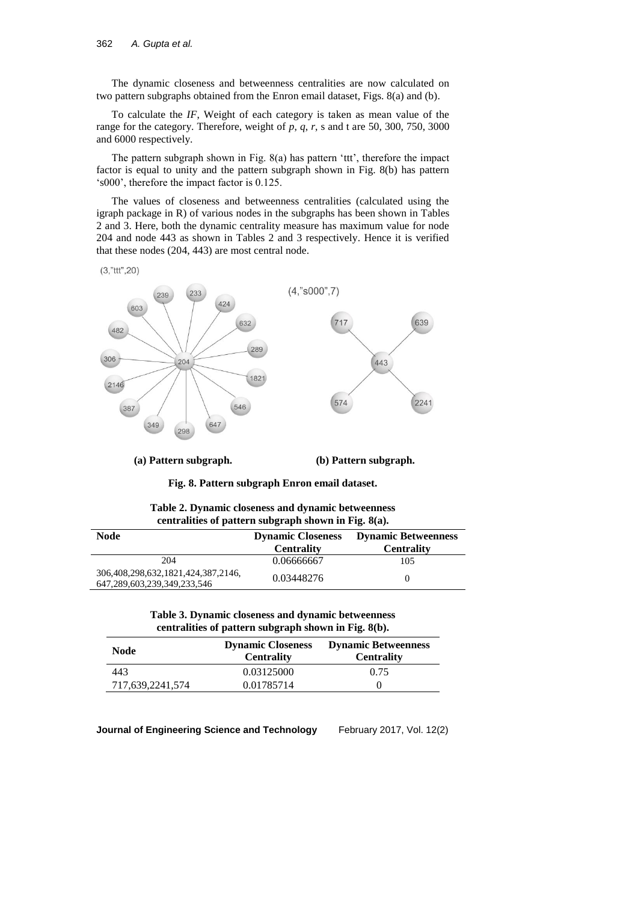The dynamic closeness and betweenness centralities are now calculated on two pattern subgraphs obtained from the Enron email dataset, Figs. 8(a) and (b).

To calculate the *IF*, Weight of each category is taken as mean value of the range for the category. Therefore, weight of  $p$ ,  $q$ ,  $r$ ,  $s$  and  $t$  are 50, 300, 750, 3000 and 6000 respectively.

The pattern subgraph shown in Fig. 8(a) has pattern 'ttt', therefore the impact factor is equal to unity and the pattern subgraph shown in Fig. 8(b) has pattern 's000', therefore the impact factor is 0.125.

The values of closeness and betweenness centralities (calculated using the igraph package in R) of various nodes in the subgraphs has been shown in Tables 2 and 3. Here, both the dynamic centrality measure has maximum value for node 204 and node 443 as shown in Tables 2 and 3 respectively. Hence it is verified that these nodes (204, 443) are most central node.

 $(3, "ttt", 20)$ 



**(a) Pattern subgraph. (b) Pattern subgraph.**

**Fig. 8. Pattern subgraph Enron email dataset.**

| Table 2. Dynamic closeness and dynamic betweenness |                                                      |  |
|----------------------------------------------------|------------------------------------------------------|--|
|                                                    | centralities of pattern subgraph shown in Fig. 8(a). |  |

| Node                                                                     | <b>Dynamic Closeness</b><br><b>Centrality</b> | <b>Dynamic Betweenness</b><br><b>Centrality</b> |
|--------------------------------------------------------------------------|-----------------------------------------------|-------------------------------------------------|
| 204                                                                      | 0.06666667                                    | 105                                             |
| 306, 408, 298, 632, 1821, 424, 387, 2146,<br>647,289,603,239,349,233,546 | 0.03448276                                    |                                                 |

| Table 3. Dynamic closeness and dynamic betweenness |                                                      |  |
|----------------------------------------------------|------------------------------------------------------|--|
|                                                    | centralities of pattern subgraph shown in Fig. 8(b). |  |

| Node             | <b>Dynamic Closeness</b><br><b>Centrality</b> | <b>Dynamic Betweenness</b><br><b>Centrality</b> |
|------------------|-----------------------------------------------|-------------------------------------------------|
| 443              | 0.03125000                                    | 0.75                                            |
| 717,639,2241,574 | 0.01785714                                    |                                                 |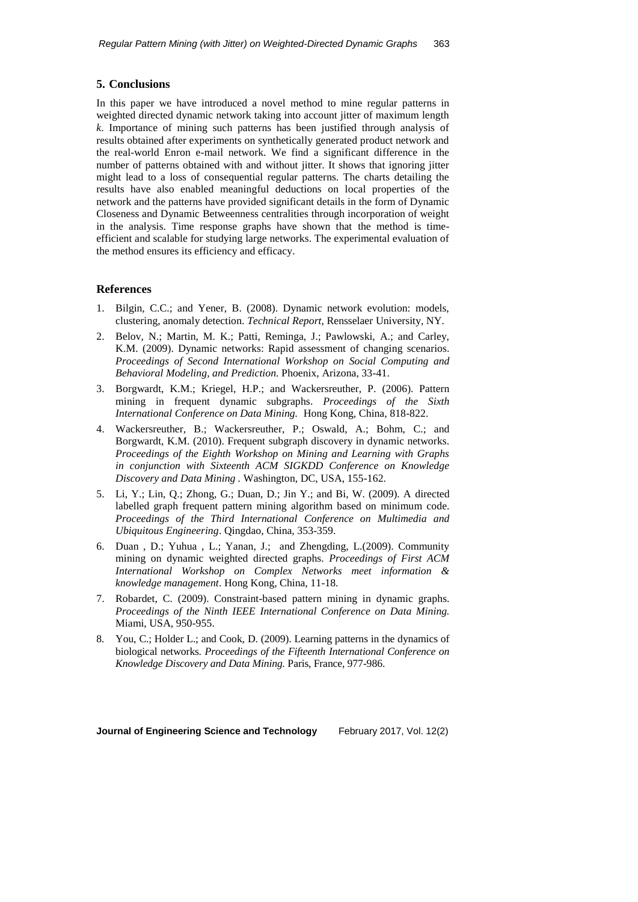### **5. Conclusions**

In this paper we have introduced a novel method to mine regular patterns in weighted directed dynamic network taking into account jitter of maximum length *k*. Importance of mining such patterns has been justified through analysis of results obtained after experiments on synthetically generated product network and the real-world Enron e-mail network. We find a significant difference in the number of patterns obtained with and without jitter. It shows that ignoring jitter might lead to a loss of consequential regular patterns. The charts detailing the results have also enabled meaningful deductions on local properties of the network and the patterns have provided significant details in the form of Dynamic Closeness and Dynamic Betweenness centralities through incorporation of weight in the analysis. Time response graphs have shown that the method is timeefficient and scalable for studying large networks. The experimental evaluation of the method ensures its efficiency and efficacy.

# **References**

- 1. Bilgin, C.C.; and Yener, B. (2008). Dynamic network evolution: models, clustering, anomaly detection. *Technical Report*, Rensselaer University, NY.
- 2. Belov, N.; Martin, M. K.; Patti, Reminga, J.; Pawlowski, A.; and Carley, K.M. (2009). Dynamic networks: Rapid assessment of changing scenarios. *Proceedings of Second International Workshop on [Social Computing and](http://link.springer.com/book/10.1007/978-1-4419-0056-2)  [Behavioral](http://link.springer.com/book/10.1007/978-1-4419-0056-2) Modeling, and Prediction.* Phoenix, Arizona, 33-41.
- 3. Borgwardt, K.M.; Kriegel, H.P.; and Wackersreuther, P. (2006). Pattern mining in frequent dynamic subgraphs. *Proceedings of the Sixth International Conference on Data Mining.* Hong Kong, China, 818-822.
- 4. Wackersreuther, B.; Wackersreuther, P.; Oswald, A.; Bohm, C.; and Borgwardt, K.M. (2010). Frequent subgraph discovery in dynamic networks. *Proceedings of the Eighth Workshop on Mining and Learning with Graphs in conjunction with Sixteenth ACM SIGKDD Conference on Knowledge Discovery and Data Mining .* Washington, DC, USA, 155-162.
- 5. Li, Y.; Lin, Q.; Zhong, G.; Duan, D.; Jin Y.; and Bi, W. (2009). A directed labelled graph frequent pattern mining algorithm based on minimum code. *Proceedings of the Third International Conference on Multimedia and Ubiquitous Engineering*. Qingdao, China, 353-359.
- 6. Duan , D.; Yuhua , L.; Yanan, J.; and Zhengding, L.(2009). Community mining on dynamic weighted directed graphs. *Proceedings of First ACM International Workshop on Complex Networks meet information & knowledge management*. Hong Kong, China, 11-18.
- 7. Robardet, C. (2009). Constraint-based pattern mining in dynamic graphs. *Proceedings of the Ninth IEEE International Conference on Data Mining.* Miami, USA, 950-955.
- 8. You, C.; Holder L.; and Cook, D. (2009). Learning patterns in the dynamics of biological networks. *Proceedings of the Fifteenth International Conference on Knowledge Discovery and Data Mining.* Paris, France, 977-986.